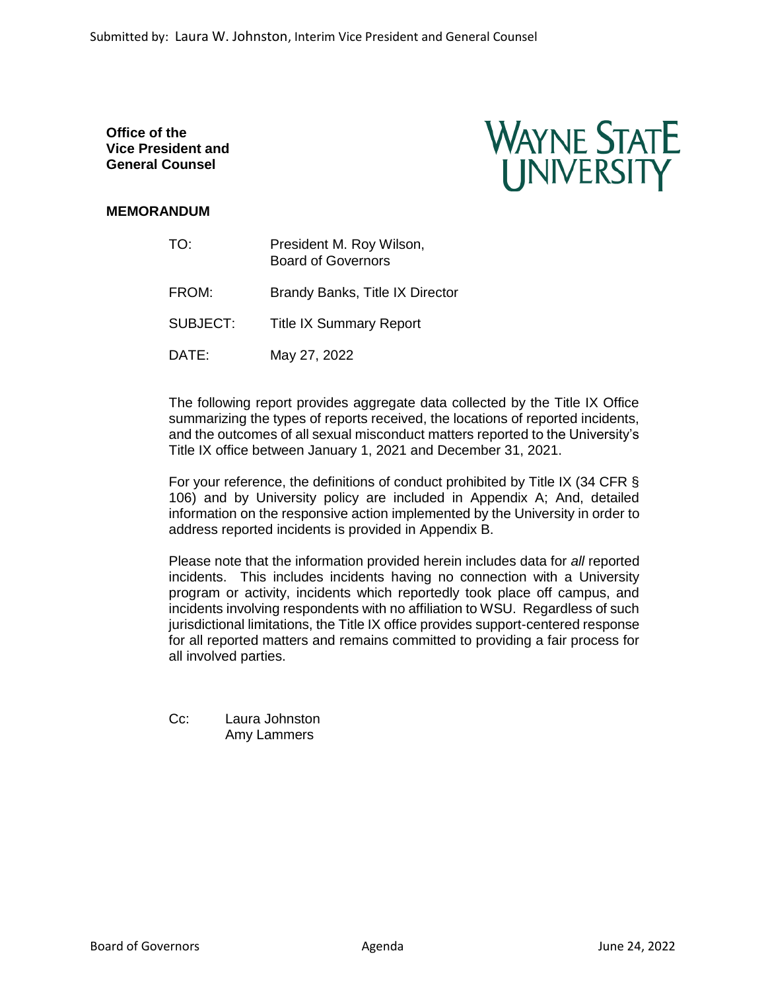**Office of the Vice President and General Counsel**



# **MEMORANDUM**

| TO:             | President M. Roy Wilson,<br><b>Board of Governors</b> |  |  |
|-----------------|-------------------------------------------------------|--|--|
| FROM:           | Brandy Banks, Title IX Director                       |  |  |
| <b>SUBJECT:</b> | <b>Title IX Summary Report</b>                        |  |  |
| DATE:           | May 27, 2022                                          |  |  |

The following report provides aggregate data collected by the Title IX Office summarizing the types of reports received, the locations of reported incidents, and the outcomes of all sexual misconduct matters reported to the University's Title IX office between January 1, 2021 and December 31, 2021.

For your reference, the definitions of conduct prohibited by Title IX (34 CFR § 106) and by University policy are included in Appendix A; And, detailed information on the responsive action implemented by the University in order to address reported incidents is provided in Appendix B.

Please note that the information provided herein includes data for *all* reported incidents. This includes incidents having no connection with a University program or activity, incidents which reportedly took place off campus, and incidents involving respondents with no affiliation to WSU. Regardless of such jurisdictional limitations, the Title IX office provides support-centered response for all reported matters and remains committed to providing a fair process for all involved parties.

| $Cc$ : | Laura Johnston |
|--------|----------------|
|        | Amy Lammers    |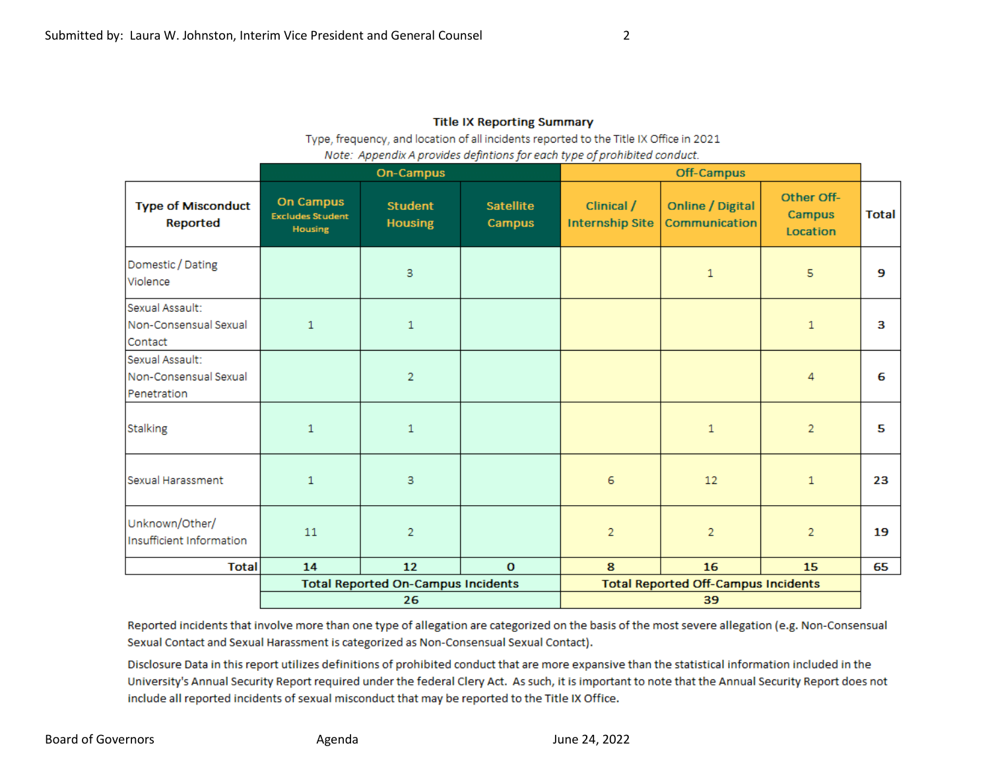## **Title IX Reporting Summary**

Type, frequency, and location of all incidents reported to the Title IX Office in 2021

|  | Note: Appendix A provides defintions for each type of prohibited conduct. |  |  |  |  |  |  |
|--|---------------------------------------------------------------------------|--|--|--|--|--|--|
|--|---------------------------------------------------------------------------|--|--|--|--|--|--|

|                                                         | <b>On-Campus</b>                                              |                                  |                            | Off-Campus                                 |                                   |                                  |              |
|---------------------------------------------------------|---------------------------------------------------------------|----------------------------------|----------------------------|--------------------------------------------|-----------------------------------|----------------------------------|--------------|
| <b>Type of Misconduct</b><br>Reported                   | <b>On Campus</b><br><b>Excludes Student</b><br><b>Housing</b> | <b>Student</b><br><b>Housing</b> | <b>Satellite</b><br>Campus | Clinical /<br><b>Internship Site</b>       | Online / Digital<br>Communication | Other Off-<br>Campus<br>Location | <b>Total</b> |
| Domestic / Dating<br>Violence                           |                                                               | 3                                |                            |                                            | 1                                 | 5                                | 9            |
| Sexual Assault:<br>Non-Consensual Sexual<br>Contact     | $\mathbf{1}$                                                  | 1                                |                            |                                            |                                   | $\mathbf{1}$                     | 3            |
| Sexual Assault:<br>Non-Consensual Sexual<br>Penetration |                                                               | $\overline{2}$                   |                            |                                            |                                   | 4                                | 6            |
| Stalking                                                | 1                                                             | 1                                |                            |                                            | $\mathbf{1}$                      | $\overline{2}$                   | 5            |
| Sexual Harassment                                       | $\mathbf{1}$                                                  | 3                                |                            | 6                                          | 12                                | $\mathbf{1}$                     | 23           |
| Unknown/Other/<br>Insufficient Information              | 11                                                            | $\overline{2}$                   |                            | $\overline{c}$                             | $\overline{c}$                    | $\overline{2}$                   | 19           |
| <b>Total</b>                                            | 14                                                            | 12                               | $\mathbf 0$                | 8                                          | 16                                | 15                               | 65           |
|                                                         | <b>Total Reported On-Campus Incidents</b>                     |                                  |                            | <b>Total Reported Off-Campus Incidents</b> |                                   |                                  |              |
|                                                         | 26                                                            |                                  |                            | 39                                         |                                   |                                  |              |

Reported incidents that involve more than one type of allegation are categorized on the basis of the most severe allegation (e.g. Non-Consensual Sexual Contact and Sexual Harassment is categorized as Non-Consensual Sexual Contact).

Disclosure Data in this report utilizes definitions of prohibited conduct that are more expansive than the statistical information included in the University's Annual Security Report required under the federal Clery Act. As such, it is important to note that the Annual Security Report does not include all reported incidents of sexual misconduct that may be reported to the Title IX Office.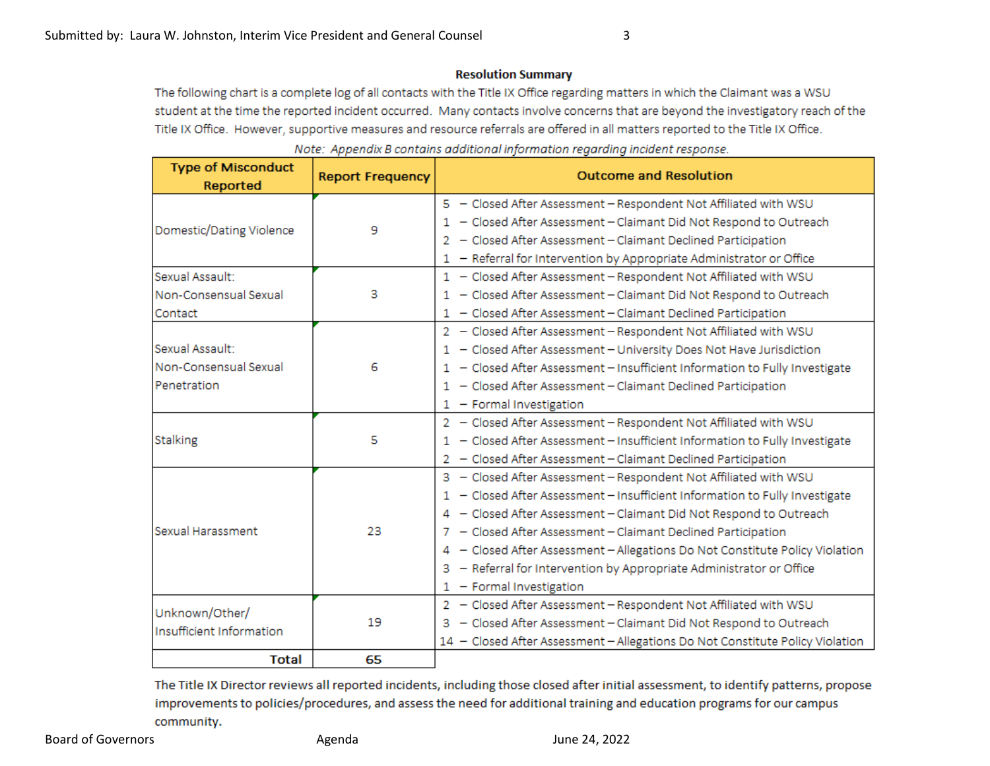## **Resolution Summary**

The following chart is a complete log of all contacts with the Title IX Office regarding matters in which the Claimant was a WSU student at the time the reported incident occurred. Many contacts involve concerns that are beyond the investigatory reach of the Title IX Office. However, supportive measures and resource referrals are offered in all matters reported to the Title IX Office.

| <b>Type of Misconduct</b><br>Reported      | <b>Report Frequency</b> | <b>Outcome and Resolution</b>                                                 |
|--------------------------------------------|-------------------------|-------------------------------------------------------------------------------|
|                                            |                         | 5 - Closed After Assessment - Respondent Not Affiliated with WSU              |
| Domestic/Dating Violence                   | 9                       | 1 - Closed After Assessment - Claimant Did Not Respond to Outreach            |
|                                            |                         | 2 - Closed After Assessment - Claimant Declined Participation                 |
|                                            |                         | 1 - Referral for Intervention by Appropriate Administrator or Office          |
| Sexual Assault:                            |                         | 1 - Closed After Assessment - Respondent Not Affiliated with WSU              |
| Non-Consensual Sexual                      | 3                       | 1 - Closed After Assessment - Claimant Did Not Respond to Outreach            |
| <b>Contact</b>                             |                         | 1 - Closed After Assessment - Claimant Declined Participation                 |
|                                            |                         | 2 - Closed After Assessment - Respondent Not Affiliated with WSU              |
| Sexual Assault:                            |                         | 1 - Closed After Assessment - University Does Not Have Jurisdiction           |
| Non-Consensual Sexual                      | 6                       | 1 - Closed After Assessment - Insufficient Information to Fully Investigate   |
| Penetration                                |                         | 1 - Closed After Assessment - Claimant Declined Participation                 |
|                                            |                         | 1 - Formal Investigation                                                      |
|                                            | 5                       | 2 - Closed After Assessment - Respondent Not Affiliated with WSU              |
| Stalking                                   |                         | 1 - Closed After Assessment - Insufficient Information to Fully Investigate   |
|                                            |                         | 2 - Closed After Assessment - Claimant Declined Participation                 |
|                                            |                         | 3 - Closed After Assessment - Respondent Not Affiliated with WSU              |
| Sexual Harassment                          |                         | 1 - Closed After Assessment - Insufficient Information to Fully Investigate   |
|                                            | 23                      | 4 - Closed After Assessment - Claimant Did Not Respond to Outreach            |
|                                            |                         | 7 - Closed After Assessment - Claimant Declined Participation                 |
|                                            |                         | 4 - Closed After Assessment - Allegations Do Not Constitute Policy Violation  |
|                                            |                         | 3 - Referral for Intervention by Appropriate Administrator or Office          |
|                                            |                         | 1 - Formal Investigation                                                      |
| Unknown/Other/<br>Insufficient Information | 19                      | 2 - Closed After Assessment - Respondent Not Affiliated with WSU              |
|                                            |                         | 3 - Closed After Assessment - Claimant Did Not Respond to Outreach            |
|                                            |                         | 14 - Closed After Assessment - Allegations Do Not Constitute Policy Violation |
| Total                                      | 65                      |                                                                               |

Note: Appendix B contains additional information regarding incident response.

The Title IX Director reviews all reported incidents, including those closed after initial assessment, to identify patterns, propose improvements to policies/procedures, and assess the need for additional training and education programs for our campus community.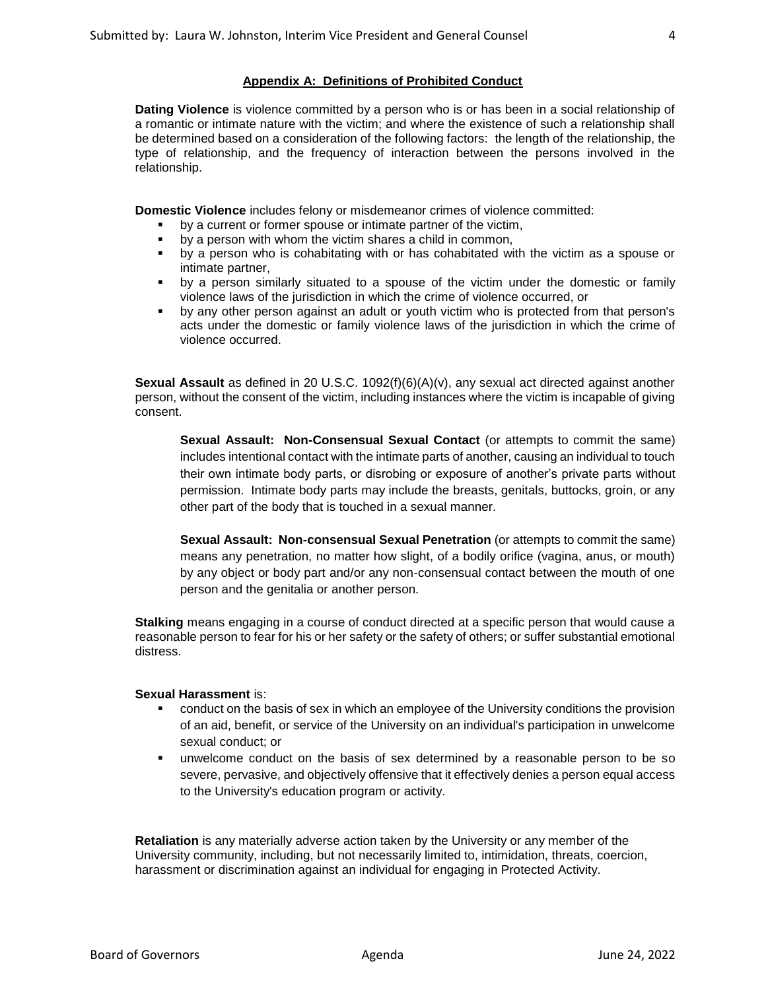#### **Appendix A: Definitions of Prohibited Conduct**

**Dating Violence** is violence committed by a person who is or has been in a social relationship of a romantic or intimate nature with the victim; and where the existence of such a relationship shall be determined based on a consideration of the following factors: the length of the relationship, the type of relationship, and the frequency of interaction between the persons involved in the relationship.

**Domestic Violence** includes felony or misdemeanor crimes of violence committed:

- by a current or former spouse or intimate partner of the victim,
- by a person with whom the victim shares a child in common,
- by a person who is cohabitating with or has cohabitated with the victim as a spouse or intimate partner,
- by a person similarly situated to a spouse of the victim under the domestic or family violence laws of the jurisdiction in which the crime of violence occurred, or
- by any other person against an adult or youth victim who is protected from that person's acts under the domestic or family violence laws of the jurisdiction in which the crime of violence occurred.

**Sexual Assault** as defined in 20 U.S.C. 1092(f)(6)(A)(v), any sexual act directed against another person, without the consent of the victim, including instances where the victim is incapable of giving consent.

**Sexual Assault: Non-Consensual Sexual Contact** (or attempts to commit the same) includes intentional contact with the intimate parts of another, causing an individual to touch their own intimate body parts, or disrobing or exposure of another's private parts without permission. Intimate body parts may include the breasts, genitals, buttocks, groin, or any other part of the body that is touched in a sexual manner.

**Sexual Assault: Non-consensual Sexual Penetration** (or attempts to commit the same) means any penetration, no matter how slight, of a bodily orifice (vagina, anus, or mouth) by any object or body part and/or any non-consensual contact between the mouth of one person and the genitalia or another person.

**Stalking** means engaging in a course of conduct directed at a specific person that would cause a reasonable person to fear for his or her safety or the safety of others; or suffer substantial emotional distress.

### **Sexual Harassment** is:

- **•** conduct on the basis of sex in which an employee of the University conditions the provision of an aid, benefit, or service of the University on an individual's participation in unwelcome sexual conduct; or
- unwelcome conduct on the basis of sex determined by a reasonable person to be so severe, pervasive, and objectively offensive that it effectively denies a person equal access to the University's education program or activity.

**Retaliation** is any materially adverse action taken by the University or any member of the University community, including, but not necessarily limited to, intimidation, threats, coercion, harassment or discrimination against an individual for engaging in Protected Activity.